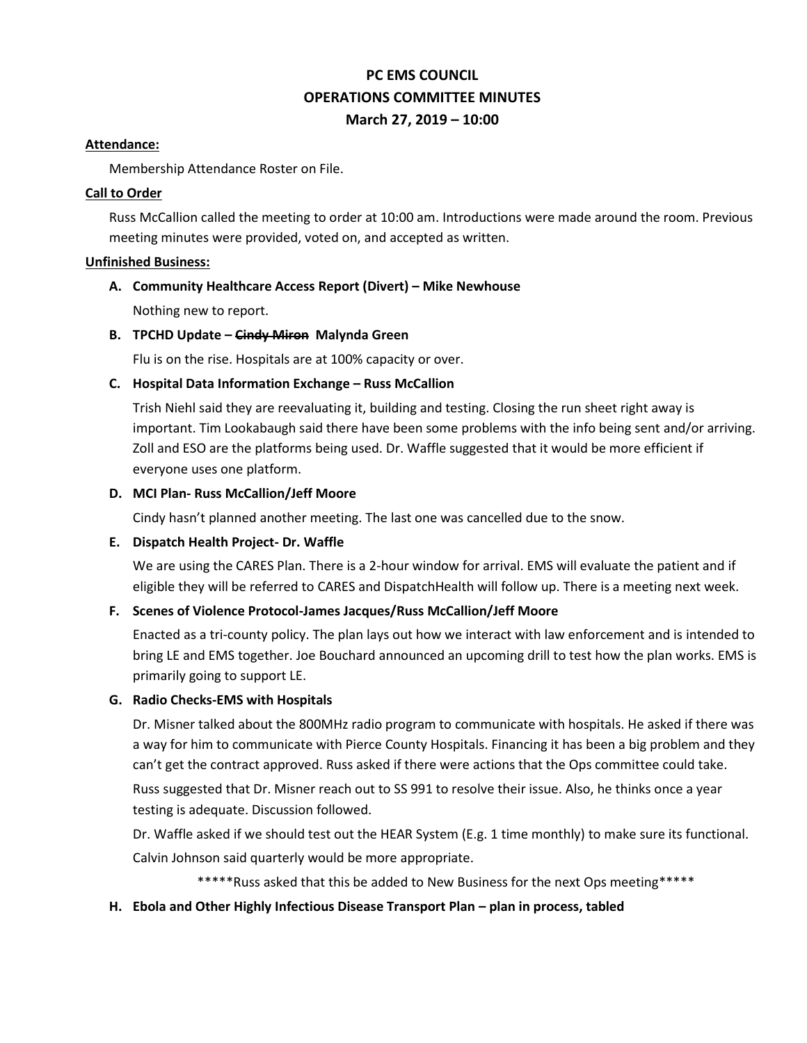# **PC EMS COUNCIL OPERATIONS COMMITTEE MINUTES March 27, 2019 – 10:00**

#### **Attendance:**

Membership Attendance Roster on File.

## **Call to Order**

Russ McCallion called the meeting to order at 10:00 am. Introductions were made around the room. Previous meeting minutes were provided, voted on, and accepted as written.

## **Unfinished Business:**

# **A. Community Healthcare Access Report (Divert) – Mike Newhouse**

Nothing new to report.

# **B. TPCHD Update – Cindy Miron Malynda Green**

Flu is on the rise. Hospitals are at 100% capacity or over.

# **C. Hospital Data Information Exchange – Russ McCallion**

Trish Niehl said they are reevaluating it, building and testing. Closing the run sheet right away is important. Tim Lookabaugh said there have been some problems with the info being sent and/or arriving. Zoll and ESO are the platforms being used. Dr. Waffle suggested that it would be more efficient if everyone uses one platform.

## **D. MCI Plan- Russ McCallion/Jeff Moore**

Cindy hasn't planned another meeting. The last one was cancelled due to the snow.

#### **E. Dispatch Health Project- Dr. Waffle**

We are using the CARES Plan. There is a 2-hour window for arrival. EMS will evaluate the patient and if eligible they will be referred to CARES and DispatchHealth will follow up. There is a meeting next week.

# **F. Scenes of Violence Protocol-James Jacques/Russ McCallion/Jeff Moore**

Enacted as a tri-county policy. The plan lays out how we interact with law enforcement and is intended to bring LE and EMS together. Joe Bouchard announced an upcoming drill to test how the plan works. EMS is primarily going to support LE.

# **G. Radio Checks-EMS with Hospitals**

Dr. Misner talked about the 800MHz radio program to communicate with hospitals. He asked if there was a way for him to communicate with Pierce County Hospitals. Financing it has been a big problem and they can't get the contract approved. Russ asked if there were actions that the Ops committee could take.

Russ suggested that Dr. Misner reach out to SS 991 to resolve their issue. Also, he thinks once a year testing is adequate. Discussion followed.

Dr. Waffle asked if we should test out the HEAR System (E.g. 1 time monthly) to make sure its functional.

Calvin Johnson said quarterly would be more appropriate.

\*\*\*\*\*Russ asked that this be added to New Business for the next Ops meeting\*\*\*\*\*

# **H. Ebola and Other Highly Infectious Disease Transport Plan – plan in process, tabled**